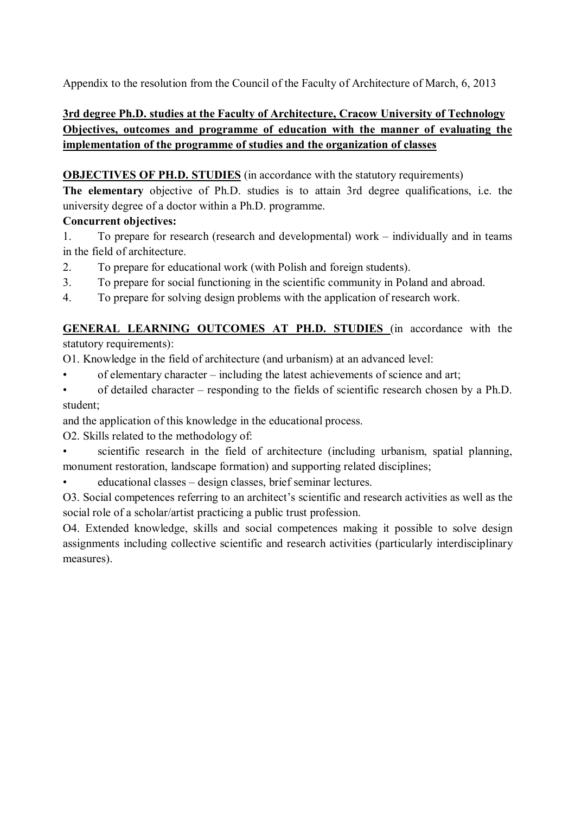Appendix to the resolution from the Council of the Faculty of Architecture of March, 6, 2013

# **3rd degree Ph.D. studies at the Faculty of Architecture, Cracow University of Technology Objectives, outcomes and programme of education with the manner of evaluating the implementation of the programme of studies and the organization of classes**

# **OBJECTIVES OF PH.D. STUDIES** (in accordance with the statutory requirements)

**The elementary** objective of Ph.D. studies is to attain 3rd degree qualifications, i.e. the university degree of a doctor within a Ph.D. programme.

# **Concurrent objectives:**

- 1. To prepare for research (research and developmental) work individually and in teams in the field of architecture.
- 2. To prepare for educational work (with Polish and foreign students).
- 3. To prepare for social functioning in the scientific community in Poland and abroad.
- 4. To prepare for solving design problems with the application of research work.

# **GENERAL LEARNING OUTCOMES AT PH.D. STUDIES** (in accordance with the statutory requirements):

O1. Knowledge in the field of architecture (and urbanism) at an advanced level:

- of elementary character including the latest achievements of science and art;
- of detailed character responding to the fields of scientific research chosen by a Ph.D. student;

and the application of this knowledge in the educational process.

O2. Skills related to the methodology of:

scientific research in the field of architecture (including urbanism, spatial planning, monument restoration, landscape formation) and supporting related disciplines;

• educational classes – design classes, brief seminar lectures.

O3. Social competences referring to an architect's scientific and research activities as well as the social role of a scholar/artist practicing a public trust profession.

O4. Extended knowledge, skills and social competences making it possible to solve design assignments including collective scientific and research activities (particularly interdisciplinary measures).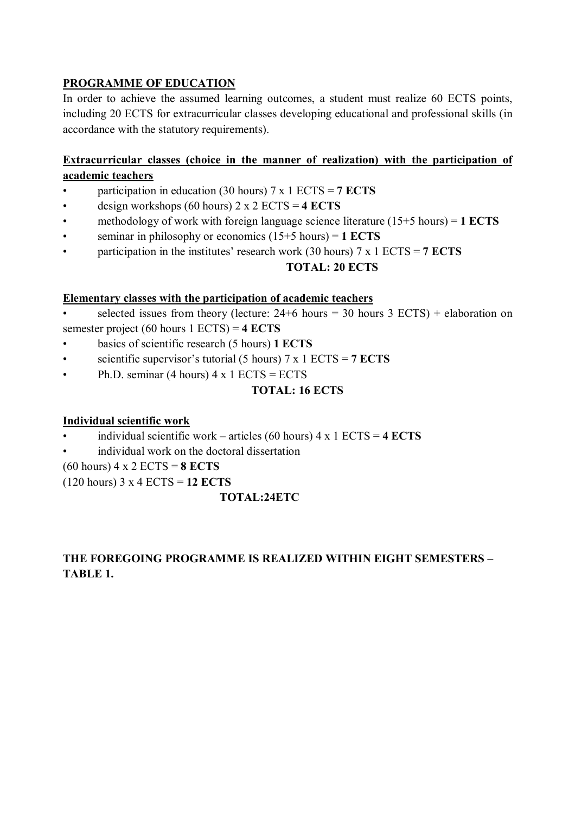## **PROGRAMME OF EDUCATION**

In order to achieve the assumed learning outcomes, a student must realize 60 ECTS points, including 20 ECTS for extracurricular classes developing educational and professional skills (in accordance with the statutory requirements).

### **Extracurricular classes (choice in the manner of realization) with the participation of academic teachers**

- participation in education (30 hours) 7 x 1 ECTS = **7 ECTS**
- design workshops (60 hours) 2 x 2 ECTS = **4 ECTS**
- methodology of work with foreign language science literature (15+5 hours) = **1 ECTS**
- seminar in philosophy or economics (15+5 hours) = **1 ECTS**
- participation in the institutes' research work (30 hours) 7 x 1 ECTS = **7 ECTS**

**TOTAL: 20 ECTS**

### **Elementary classes with the participation of academic teachers**

selected issues from theory (lecture:  $24+6$  hours = 30 hours 3 ECTS) + elaboration on semester project (60 hours 1 ECTS) = **4 ECTS**

- basics of scientific research (5 hours) **1 ECTS**
- scientific supervisor's tutorial (5 hours) 7 x 1 ECTS = **7 ECTS**
- Ph.D. seminar (4 hours)  $4 \times 1$  ECTS = ECTS

### **TOTAL: 16 ECTS**

### **Individual scientific work**

- individual scientific work articles (60 hours) 4 x 1 ECTS = **4 ECTS**
- individual work on the doctoral dissertation

(60 hours) 4 x 2 ECTS = **8 ECTS**

(120 hours) 3 x 4 ECTS = **12 ECTS**

### **TOTAL:24ETC**

# **THE FOREGOING PROGRAMME IS REALIZED WITHIN EIGHT SEMESTERS – TABLE 1.**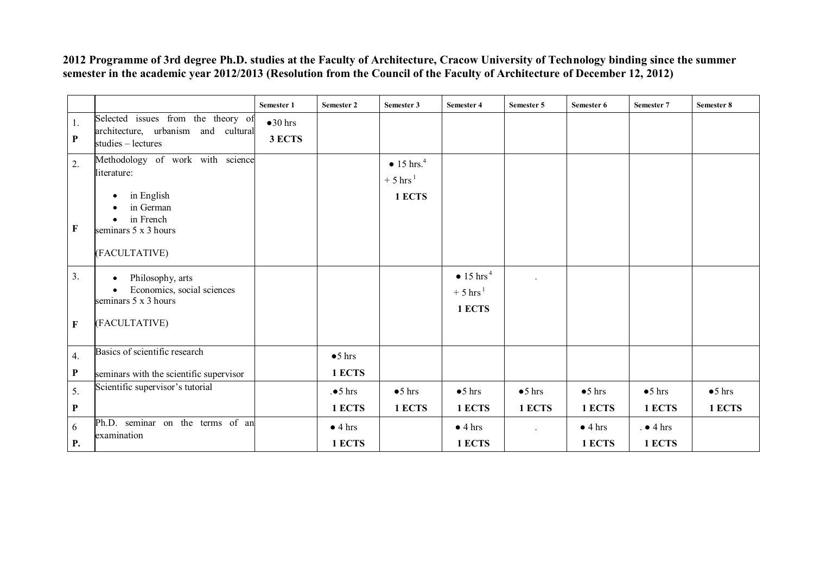**2012 Programme of 3rd degree Ph.D. studies at the Faculty of Architecture, Cracow University of Technology binding since the summer semester in the academic year 2012/2013 (Resolution from the Council of the Faculty of Architecture of December 12, 2012)**

|                   |                                                                                                                                  | Semester 1                 | Semester 2                          | Semester 3                                                        | <b>Semester 4</b>                                                | Semester 5                | Semester 6                | Semester 7                  | Semester 8                |
|-------------------|----------------------------------------------------------------------------------------------------------------------------------|----------------------------|-------------------------------------|-------------------------------------------------------------------|------------------------------------------------------------------|---------------------------|---------------------------|-----------------------------|---------------------------|
| 1.<br>${\bf P}$   | Selected issues from the theory of<br>architecture, urbanism and cultural<br>studies - lectures                                  | $\bullet 30$ hrs<br>3 ECTS |                                     |                                                                   |                                                                  |                           |                           |                             |                           |
| 2.<br>$\mathbf F$ | Methodology of work with science<br>literature:<br>in English<br>in German<br>in French<br>seminars 5 x 3 hours<br>(FACULTATIVE) |                            |                                     | $\bullet$ 15 hrs. <sup>4</sup><br>$+5$ hrs <sup>1</sup><br>1 ECTS |                                                                  |                           |                           |                             |                           |
| 3.<br>$\mathbf F$ | Philosophy, arts<br>$\bullet$<br>Economics, social sciences<br>seminars 5 x 3 hours<br>(FACULTATIVE)                             |                            |                                     |                                                                   | $\bullet$ 15 hrs <sup>4</sup><br>$+5$ hrs <sup>1</sup><br>1 ECTS |                           |                           |                             |                           |
| 4.<br>$\mathbf P$ | Basics of scientific research<br>seminars with the scientific supervisor                                                         |                            | $\bullet$ 5 hrs<br>1 ECTS           |                                                                   |                                                                  |                           |                           |                             |                           |
| 5.<br>${\bf P}$   | Scientific supervisor's tutorial                                                                                                 |                            | $. \bullet 5 \text{ hrs}$<br>1 ECTS | $\bullet$ 5 hrs<br>1 ECTS                                         | $\bullet$ 5 hrs<br>1 ECTS                                        | $\bullet$ 5 hrs<br>1 ECTS | $\bullet$ 5 hrs<br>1 ECTS | $\bullet$ 5 hrs<br>1 ECTS   | $\bullet$ 5 hrs<br>1 ECTS |
| 6<br><b>P.</b>    | Ph.D. seminar on the terms of an<br>examination                                                                                  |                            | $\bullet$ 4 hrs<br>1 ECTS           |                                                                   | $\bullet$ 4 hrs<br>1 ECTS                                        |                           | $\bullet$ 4 hrs<br>1 ECTS | $. \bullet 4$ hrs<br>1 ECTS |                           |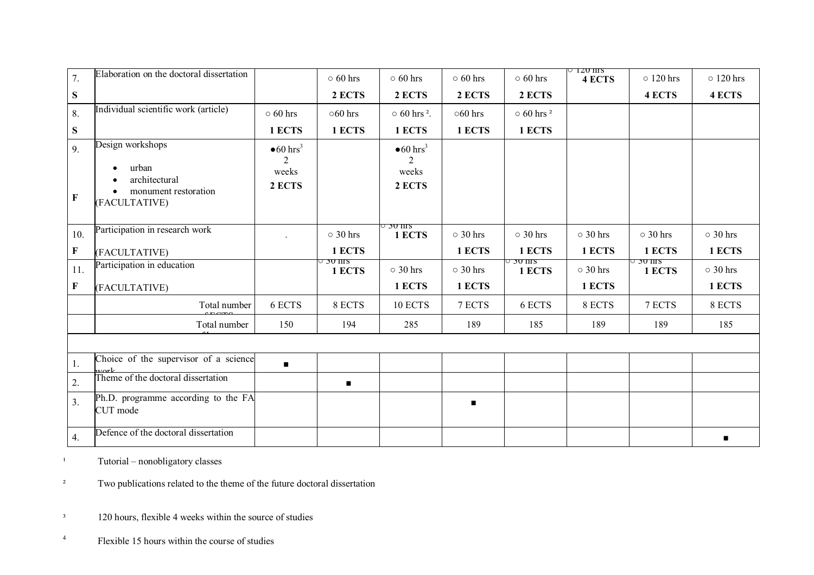| 7.               | Elaboration on the doctoral dissertation                                     |                                   | $\circ$ 60 hrs               | $\circ$ 60 hrs                    | $\circ$ 60 hrs | $\circ$ 60 hrs              | $\circ$ 1.20 nrs<br><b>4 ECTS</b> | $\circ$ 120 hrs    | $\circ$ 120 hrs |
|------------------|------------------------------------------------------------------------------|-----------------------------------|------------------------------|-----------------------------------|----------------|-----------------------------|-----------------------------------|--------------------|-----------------|
| ${\bf S}$        |                                                                              |                                   | 2 ECTS                       | 2 ECTS                            | 2 ECTS         | 2 ECTS                      |                                   | 4 ECTS             | <b>4 ECTS</b>   |
| 8.               | Individual scientific work (article)                                         | $\circ$ 60 hrs                    | $\circ 60$ hrs               | $\circ$ 60 hrs <sup>2</sup> .     | $\circ 60$ hrs | $\circ$ 60 hrs <sup>2</sup> |                                   |                    |                 |
| S                |                                                                              | 1 ECTS                            | 1 ECTS                       | 1 ECTS                            | 1 ECTS         | 1 ECTS                      |                                   |                    |                 |
| 9.               | Design workshops                                                             | $\bullet 60$ hrs <sup>3</sup>     |                              | $\bullet 60$ hrs <sup>3</sup>     |                |                             |                                   |                    |                 |
| $\mathbf F$      | urban<br>$\bullet$<br>architectural<br>monument restoration<br>(FACULTATIVE) | $\overline{2}$<br>weeks<br>2 ECTS |                              | $\overline{2}$<br>weeks<br>2 ECTS |                |                             |                                   |                    |                 |
| 10.              | Participation in research work                                               |                                   | $\circ$ 30 hrs               | ∪ วบ ms<br>1 ECTS                 | $\circ$ 30 hrs | $\circ$ 30 hrs              | $\circ$ 30 hrs                    | $\circ$ 30 hrs     | $\circ$ 30 hrs  |
| F                | (FACULTATIVE)                                                                |                                   | 1 ECTS                       |                                   | 1 ECTS         | 1 ECTS                      | 1 ECTS                            | 1 ECTS             | 1 ECTS          |
| 11.              | Participation in education                                                   |                                   | <del>או סכ</del> ל<br>1 ECTS | $\circ$ 30 hrs                    | $\circ$ 30 hrs | ು 50 nrs<br>1 ECTS          | $\circ$ 30 hrs                    | J 30 nrs<br>1 ECTS | $\circ$ 30 hrs  |
| F                | (FACULTATIVE)                                                                |                                   |                              | 1 ECTS                            | 1 ECTS         |                             | 1 ECTS                            |                    | 1 ECTS          |
|                  | Total number                                                                 | 6 ECTS                            | 8 ECTS                       | 10 ECTS                           | 7 ECTS         | 6 ECTS                      | 8 ECTS                            | 7 ECTS             | 8 ECTS          |
|                  | Total number                                                                 | 150                               | 194                          | 285                               | 189            | 185                         | 189                               | 189                | 185             |
|                  |                                                                              |                                   |                              |                                   |                |                             |                                   |                    |                 |
| 1.               | Choice of the supervisor of a science                                        | $\blacksquare$                    |                              |                                   |                |                             |                                   |                    |                 |
| 2.               | Theme of the doctoral dissertation                                           |                                   | $\blacksquare$               |                                   |                |                             |                                   |                    |                 |
| 3.               | Ph.D. programme according to the FA<br>CUT mode                              |                                   |                              |                                   |                |                             |                                   |                    |                 |
| $\overline{4}$ . | Defence of the doctoral dissertation                                         |                                   |                              |                                   |                |                             |                                   |                    |                 |

 $1$  Tutorial – nonobligatory classes

<sup>2</sup> Two publications related to the theme of the future doctoral dissertation

<sup>3</sup> 120 hours, flexible 4 weeks within the source of studies

4 Flexible 15 hours within the course of studies